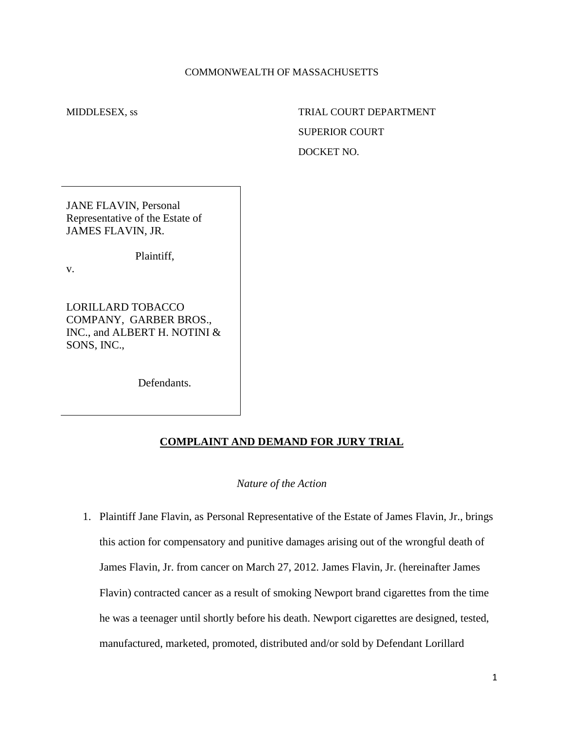## COMMONWEALTH OF MASSACHUSETTS

# MIDDLESEX, ss TRIAL COURT DEPARTMENT SUPERIOR COURT DOCKET NO.

JANE FLAVIN, Personal Representative of the Estate of JAMES FLAVIN, JR.

Plaintiff,

v.

LORILLARD TOBACCO COMPANY, GARBER BROS., INC., and ALBERT H. NOTINI & SONS, INC.,

Defendants.

## **COMPLAINT AND DEMAND FOR JURY TRIAL**

#### *Nature of the Action*

1. Plaintiff Jane Flavin, as Personal Representative of the Estate of James Flavin, Jr., brings this action for compensatory and punitive damages arising out of the wrongful death of James Flavin, Jr. from cancer on March 27, 2012. James Flavin, Jr. (hereinafter James Flavin) contracted cancer as a result of smoking Newport brand cigarettes from the time he was a teenager until shortly before his death. Newport cigarettes are designed, tested, manufactured, marketed, promoted, distributed and/or sold by Defendant Lorillard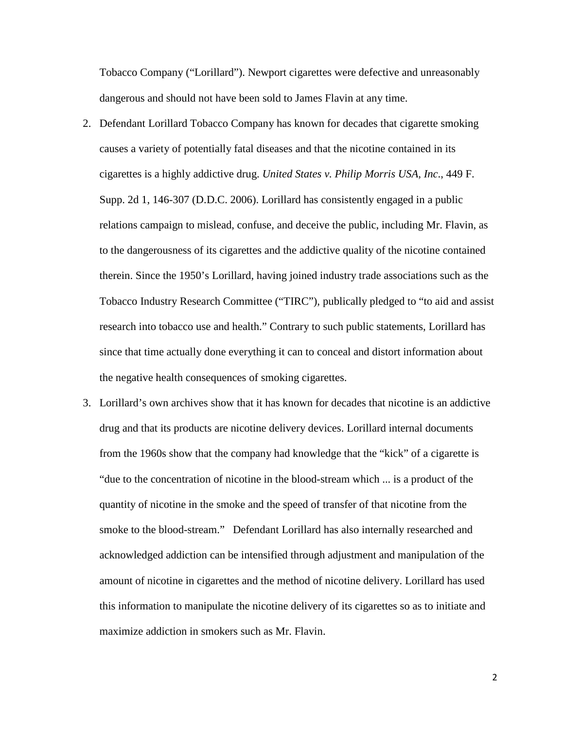Tobacco Company ("Lorillard"). Newport cigarettes were defective and unreasonably dangerous and should not have been sold to James Flavin at any time.

- 2. Defendant Lorillard Tobacco Company has known for decades that cigarette smoking causes a variety of potentially fatal diseases and that the nicotine contained in its cigarettes is a highly addictive drug. *United States v. Philip Morris USA, Inc*., 449 F. Supp. 2d 1, 146-307 (D.D.C. 2006). Lorillard has consistently engaged in a public relations campaign to mislead, confuse, and deceive the public, including Mr. Flavin, as to the dangerousness of its cigarettes and the addictive quality of the nicotine contained therein. Since the 1950's Lorillard, having joined industry trade associations such as the Tobacco Industry Research Committee ("TIRC"), publically pledged to "to aid and assist research into tobacco use and health." Contrary to such public statements, Lorillard has since that time actually done everything it can to conceal and distort information about the negative health consequences of smoking cigarettes.
- 3. Lorillard's own archives show that it has known for decades that nicotine is an addictive drug and that its products are nicotine delivery devices. Lorillard internal documents from the 1960s show that the company had knowledge that the "kick" of a cigarette is "due to the concentration of nicotine in the blood-stream which ... is a product of the quantity of nicotine in the smoke and the speed of transfer of that nicotine from the smoke to the blood-stream." Defendant Lorillard has also internally researched and acknowledged addiction can be intensified through adjustment and manipulation of the amount of nicotine in cigarettes and the method of nicotine delivery. Lorillard has used this information to manipulate the nicotine delivery of its cigarettes so as to initiate and maximize addiction in smokers such as Mr. Flavin.

2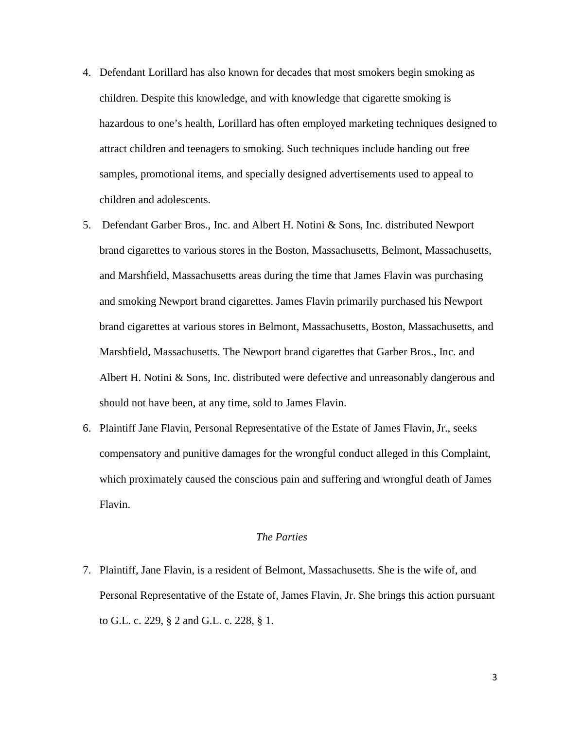- 4. Defendant Lorillard has also known for decades that most smokers begin smoking as children. Despite this knowledge, and with knowledge that cigarette smoking is hazardous to one's health, Lorillard has often employed marketing techniques designed to attract children and teenagers to smoking. Such techniques include handing out free samples, promotional items, and specially designed advertisements used to appeal to children and adolescents.
- 5. Defendant Garber Bros., Inc. and Albert H. Notini & Sons, Inc. distributed Newport brand cigarettes to various stores in the Boston, Massachusetts, Belmont, Massachusetts, and Marshfield, Massachusetts areas during the time that James Flavin was purchasing and smoking Newport brand cigarettes. James Flavin primarily purchased his Newport brand cigarettes at various stores in Belmont, Massachusetts, Boston, Massachusetts, and Marshfield, Massachusetts. The Newport brand cigarettes that Garber Bros., Inc. and Albert H. Notini & Sons, Inc. distributed were defective and unreasonably dangerous and should not have been, at any time, sold to James Flavin.
- 6. Plaintiff Jane Flavin, Personal Representative of the Estate of James Flavin, Jr., seeks compensatory and punitive damages for the wrongful conduct alleged in this Complaint, which proximately caused the conscious pain and suffering and wrongful death of James Flavin.

# *The Parties*

7. Plaintiff, Jane Flavin, is a resident of Belmont, Massachusetts. She is the wife of, and Personal Representative of the Estate of, James Flavin, Jr. She brings this action pursuant to G.L. c. 229, § 2 and G.L. c. 228, § 1.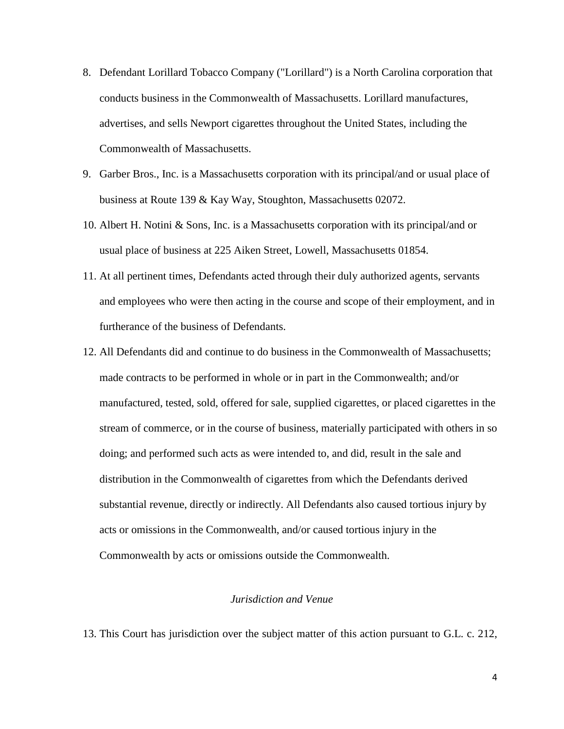- 8. Defendant Lorillard Tobacco Company ("Lorillard") is a North Carolina corporation that conducts business in the Commonwealth of Massachusetts. Lorillard manufactures, advertises, and sells Newport cigarettes throughout the United States, including the Commonwealth of Massachusetts.
- 9. Garber Bros., Inc. is a Massachusetts corporation with its principal/and or usual place of business at Route 139 & Kay Way, Stoughton, Massachusetts 02072.
- 10. Albert H. Notini & Sons, Inc. is a Massachusetts corporation with its principal/and or usual place of business at 225 Aiken Street, Lowell, Massachusetts 01854.
- 11. At all pertinent times, Defendants acted through their duly authorized agents, servants and employees who were then acting in the course and scope of their employment, and in furtherance of the business of Defendants.
- 12. All Defendants did and continue to do business in the Commonwealth of Massachusetts; made contracts to be performed in whole or in part in the Commonwealth; and/or manufactured, tested, sold, offered for sale, supplied cigarettes, or placed cigarettes in the stream of commerce, or in the course of business, materially participated with others in so doing; and performed such acts as were intended to, and did, result in the sale and distribution in the Commonwealth of cigarettes from which the Defendants derived substantial revenue, directly or indirectly. All Defendants also caused tortious injury by acts or omissions in the Commonwealth, and/or caused tortious injury in the Commonwealth by acts or omissions outside the Commonwealth.

#### *Jurisdiction and Venue*

13. This Court has jurisdiction over the subject matter of this action pursuant to G.L. c. 212,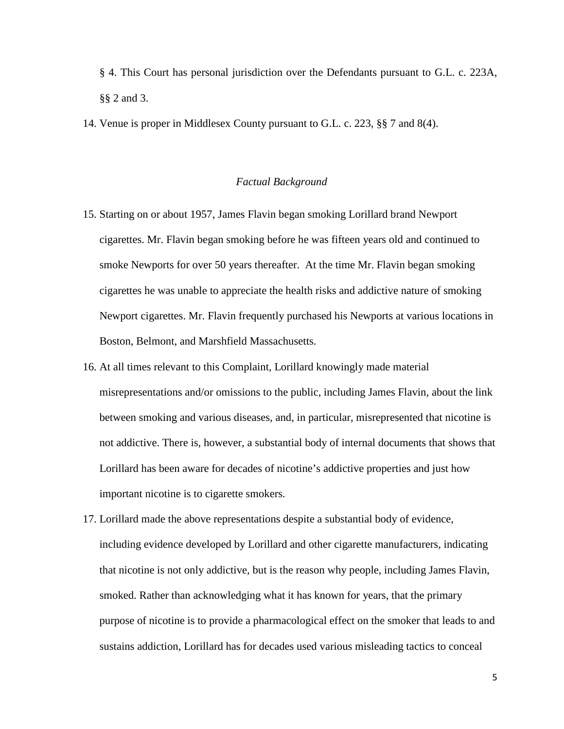§ 4. This Court has personal jurisdiction over the Defendants pursuant to G.L. c. 223A, §§ 2 and [3.](http://www.westlaw.com/Link/Document/FullText?findType=L&pubNum=1000042&cite=MAST223AS3&originatingDoc=Iff1725ee20b811dbbffafa490ee528f6&refType=LQ&originationContext=document&vr=3.0&rs=cblt1.0&transitionType=DocumentItem&contextData=(sc.RelatedInfo))

14. Venue is proper in Middlesex County pursuant to G.L. c. 223, §§ 7 and 8(4).

#### *Factual Background*

- 15. Starting on or about 1957, James Flavin began smoking Lorillard brand Newport cigarettes. Mr. Flavin began smoking before he was fifteen years old and continued to smoke Newports for over 50 years thereafter. At the time Mr. Flavin began smoking cigarettes he was unable to appreciate the health risks and addictive nature of smoking Newport cigarettes. Mr. Flavin frequently purchased his Newports at various locations in Boston, Belmont, and Marshfield Massachusetts.
- 16. At all times relevant to this Complaint, Lorillard knowingly made material misrepresentations and/or omissions to the public, including James Flavin, about the link between smoking and various diseases, and, in particular, misrepresented that nicotine is not addictive. There is, however, a substantial body of internal documents that shows that Lorillard has been aware for decades of nicotine's addictive properties and just how important nicotine is to cigarette smokers.
- 17. Lorillard made the above representations despite a substantial body of evidence, including evidence developed by Lorillard and other cigarette manufacturers, indicating that nicotine is not only addictive, but is the reason why people, including James Flavin, smoked. Rather than acknowledging what it has known for years, that the primary purpose of nicotine is to provide a pharmacological effect on the smoker that leads to and sustains addiction, Lorillard has for decades used various misleading tactics to conceal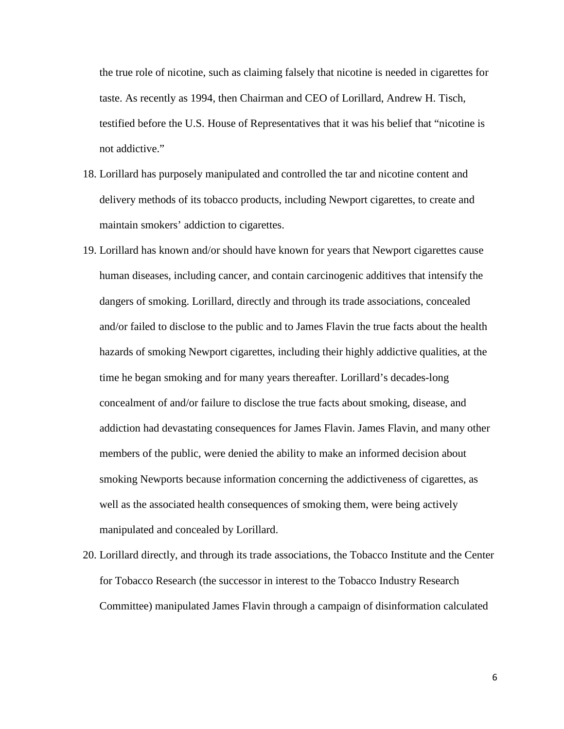the true role of nicotine, such as claiming falsely that nicotine is needed in cigarettes for taste. As recently as 1994, then Chairman and CEO of Lorillard, Andrew H. Tisch, testified before the U.S. House of Representatives that it was his belief that "nicotine is not addictive."

- 18. Lorillard has purposely manipulated and controlled the tar and nicotine content and delivery methods of its tobacco products, including Newport cigarettes, to create and maintain smokers' addiction to cigarettes.
- 19. Lorillard has known and/or should have known for years that Newport cigarettes cause human diseases, including cancer, and contain carcinogenic additives that intensify the dangers of smoking. Lorillard, directly and through its trade associations, concealed and/or failed to disclose to the public and to James Flavin the true facts about the health hazards of smoking Newport cigarettes, including their highly addictive qualities, at the time he began smoking and for many years thereafter. Lorillard's decades-long concealment of and/or failure to disclose the true facts about smoking, disease, and addiction had devastating consequences for James Flavin. James Flavin, and many other members of the public, were denied the ability to make an informed decision about smoking Newports because information concerning the addictiveness of cigarettes, as well as the associated health consequences of smoking them, were being actively manipulated and concealed by Lorillard.
- 20. Lorillard directly, and through its trade associations, the Tobacco Institute and the Center for Tobacco Research (the successor in interest to the Tobacco Industry Research Committee) manipulated James Flavin through a campaign of disinformation calculated

6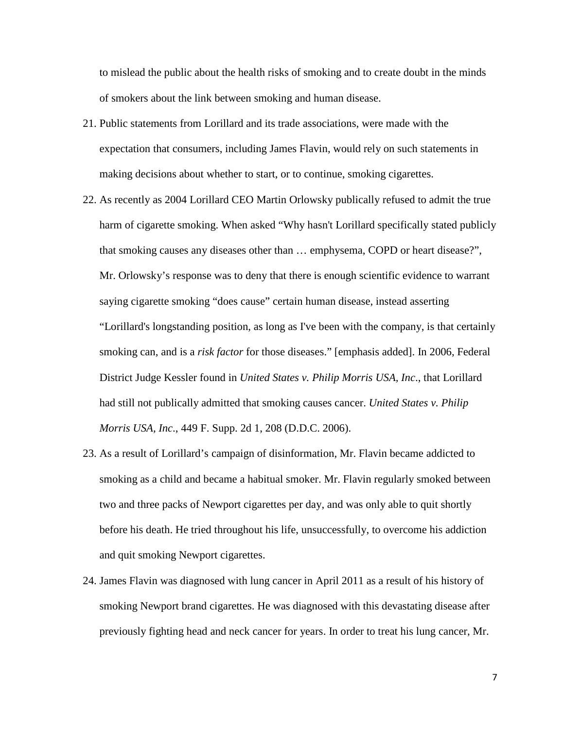to mislead the public about the health risks of smoking and to create doubt in the minds of smokers about the link between smoking and human disease.

- 21. Public statements from Lorillard and its trade associations, were made with the expectation that consumers, including James Flavin, would rely on such statements in making decisions about whether to start, or to continue, smoking cigarettes.
- 22. As recently as 2004 Lorillard CEO Martin Orlowsky publically refused to admit the true harm of cigarette smoking. When asked "Why hasn't Lorillard specifically stated publicly that smoking causes any diseases other than … emphysema, COPD or heart disease?", Mr. Orlowsky's response was to deny that there is enough scientific evidence to warrant saying cigarette smoking "does cause" certain human disease, instead asserting "Lorillard's longstanding position, as long as I've been with the company, is that certainly smoking can, and is a *risk factor* for those diseases." [emphasis added]. In 2006, Federal District Judge Kessler found in *United States v. Philip Morris USA, Inc*., that Lorillard had still not publically admitted that smoking causes cancer. *United States v. Philip Morris USA, Inc*., 449 F. Supp. 2d 1, 208 (D.D.C. 2006).
- 23. As a result of Lorillard's campaign of disinformation, Mr. Flavin became addicted to smoking as a child and became a habitual smoker. Mr. Flavin regularly smoked between two and three packs of Newport cigarettes per day, and was only able to quit shortly before his death. He tried throughout his life, unsuccessfully, to overcome his addiction and quit smoking Newport cigarettes.
- 24. James Flavin was diagnosed with lung cancer in April 2011 as a result of his history of smoking Newport brand cigarettes. He was diagnosed with this devastating disease after previously fighting head and neck cancer for years. In order to treat his lung cancer, Mr.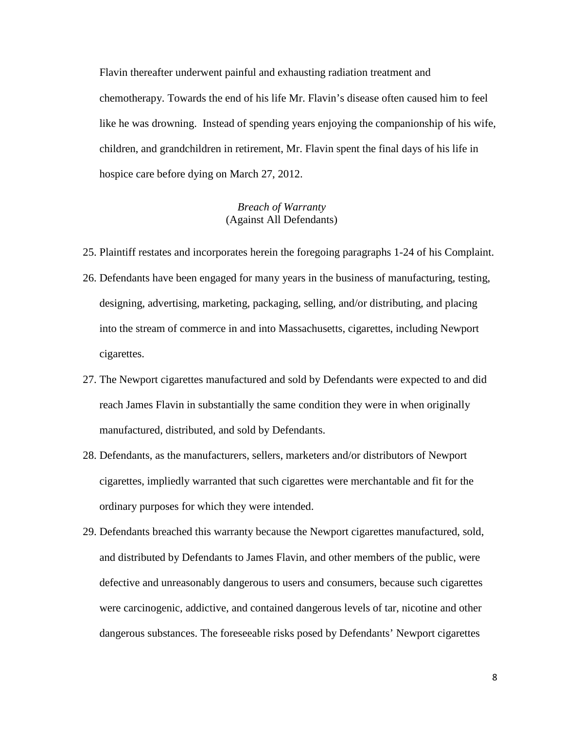Flavin thereafter underwent painful and exhausting radiation treatment and chemotherapy. Towards the end of his life Mr. Flavin's disease often caused him to feel like he was drowning. Instead of spending years enjoying the companionship of his wife, children, and grandchildren in retirement, Mr. Flavin spent the final days of his life in hospice care before dying on March 27, 2012.

# *Breach of Warranty* (Against All Defendants)

- 25. Plaintiff restates and incorporates herein the foregoing paragraphs 1-24 of his Complaint.
- 26. Defendants have been engaged for many years in the business of manufacturing, testing, designing, advertising, marketing, packaging, selling, and/or distributing, and placing into the stream of commerce in and into Massachusetts, cigarettes, including Newport cigarettes.
- 27. The Newport cigarettes manufactured and sold by Defendants were expected to and did reach James Flavin in substantially the same condition they were in when originally manufactured, distributed, and sold by Defendants.
- 28. Defendants, as the manufacturers, sellers, marketers and/or distributors of Newport cigarettes, impliedly warranted that such cigarettes were merchantable and fit for the ordinary purposes for which they were intended.
- 29. Defendants breached this warranty because the Newport cigarettes manufactured, sold, and distributed by Defendants to James Flavin, and other members of the public, were defective and unreasonably dangerous to users and consumers, because such cigarettes were carcinogenic, addictive, and contained dangerous levels of tar, nicotine and other dangerous substances. The foreseeable risks posed by Defendants' Newport cigarettes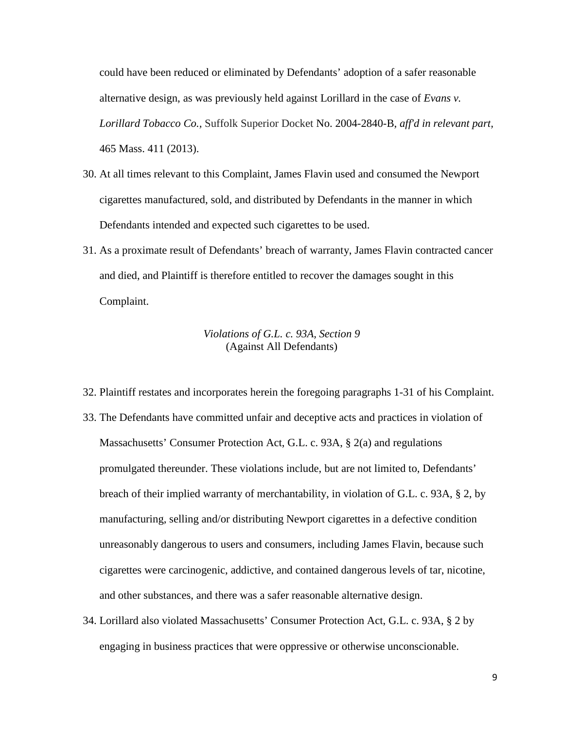could have been reduced or eliminated by Defendants' adoption of a safer reasonable alternative design, as was previously held against Lorillard in the case of *Evans v. Lorillard Tobacco Co.,* Suffolk Superior Docket No. 2004-2840-B, *aff'd in relevant part,*  465 Mass. 411 (2013).

- 30. At all times relevant to this Complaint, James Flavin used and consumed the Newport cigarettes manufactured, sold, and distributed by Defendants in the manner in which Defendants intended and expected such cigarettes to be used.
- 31. As a proximate result of Defendants' breach of warranty, James Flavin contracted cancer and died, and Plaintiff is therefore entitled to recover the damages sought in this Complaint.

# *Violations of G.L. c. 93A, Section 9* (Against All Defendants)

- 32. Plaintiff restates and incorporates herein the foregoing paragraphs 1-31 of his Complaint.
- 33. The Defendants have committed unfair and deceptive acts and practices in violation of Massachusetts' Consumer Protection Act, G.L. c. 93A, § 2(a) and regulations promulgated thereunder. These violations include, but are not limited to, Defendants' breach of their implied warranty of merchantability, in violation of G.L. c. 93A, § 2, by manufacturing, selling and/or distributing Newport cigarettes in a defective condition unreasonably dangerous to users and consumers, including James Flavin, because such cigarettes were carcinogenic, addictive, and contained dangerous levels of tar, nicotine, and other substances, and there was a safer reasonable alternative design.
- 34. Lorillard also violated Massachusetts' Consumer Protection Act, G.L. c. 93A, § 2 by engaging in business practices that were oppressive or otherwise unconscionable.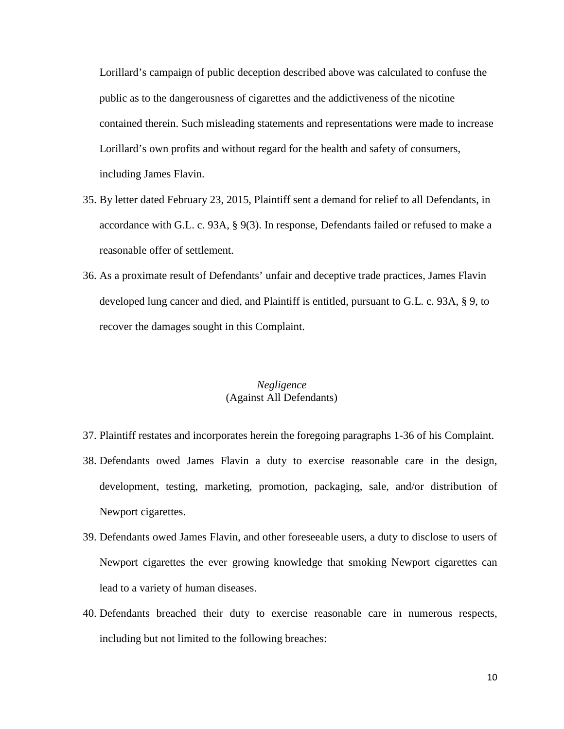Lorillard's campaign of public deception described above was calculated to confuse the public as to the dangerousness of cigarettes and the addictiveness of the nicotine contained therein. Such misleading statements and representations were made to increase Lorillard's own profits and without regard for the health and safety of consumers, including James Flavin.

- 35. By letter dated February 23, 2015, Plaintiff sent a demand for relief to all Defendants, in accordance with [G.L. c. 93A, § 9\(](http://www.westlaw.com/Link/Document/FullText?findType=L&pubNum=1000042&cite=MAST93AS9&originatingDoc=Iff1725ee20b811dbbffafa490ee528f6&refType=LQ&originationContext=document&vr=3.0&rs=cblt1.0&transitionType=DocumentItem&contextData=(sc.RelatedInfo))3). In response, Defendants failed or refused to make a reasonable offer of settlement.
- 36. As a proximate result of Defendants' unfair and deceptive trade practices, James Flavin developed lung cancer and died, and Plaintiff is entitled, pursuant to [G.L. c. 93A, § 9,](http://www.westlaw.com/Link/Document/FullText?findType=L&pubNum=1000042&cite=MAST93AS9&originatingDoc=Iff1725ee20b811dbbffafa490ee528f6&refType=LQ&originationContext=document&vr=3.0&rs=cblt1.0&transitionType=DocumentItem&contextData=(sc.RelatedInfo)) to recover the damages sought in this Complaint.

## *Negligence*  (Against All Defendants)

- 37. Plaintiff restates and incorporates herein the foregoing paragraphs 1-36 of his Complaint.
- 38. Defendants owed James Flavin a duty to exercise reasonable care in the design, development, testing, marketing, promotion, packaging, sale, and/or distribution of Newport cigarettes.
- 39. Defendants owed James Flavin, and other foreseeable users, a duty to disclose to users of Newport cigarettes the ever growing knowledge that smoking Newport cigarettes can lead to a variety of human diseases.
- 40. Defendants breached their duty to exercise reasonable care in numerous respects, including but not limited to the following breaches: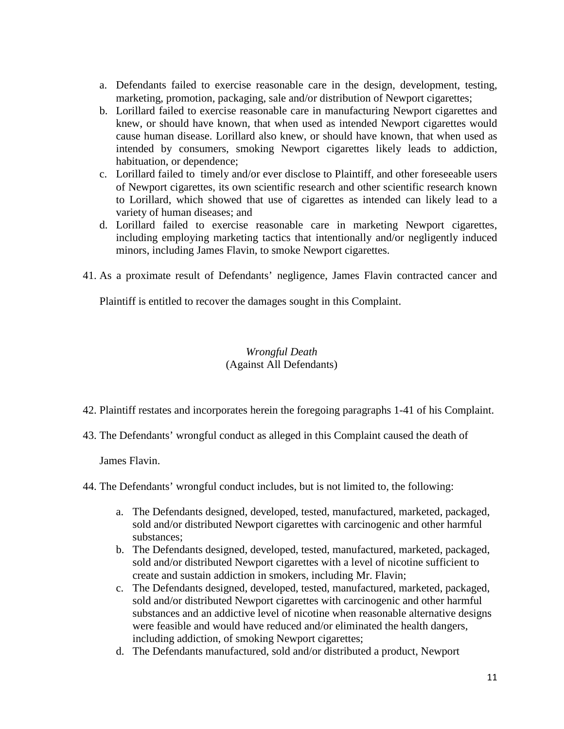- a. Defendants failed to exercise reasonable care in the design, development, testing, marketing, promotion, packaging, sale and/or distribution of Newport cigarettes;
- b. Lorillard failed to exercise reasonable care in manufacturing Newport cigarettes and knew, or should have known, that when used as intended Newport cigarettes would cause human disease. Lorillard also knew, or should have known, that when used as intended by consumers, smoking Newport cigarettes likely leads to addiction, habituation, or dependence;
- c. Lorillard failed to timely and/or ever disclose to Plaintiff, and other foreseeable users of Newport cigarettes, its own scientific research and other scientific research known to Lorillard, which showed that use of cigarettes as intended can likely lead to a variety of human diseases; and
- d. Lorillard failed to exercise reasonable care in marketing Newport cigarettes, including employing marketing tactics that intentionally and/or negligently induced minors, including James Flavin, to smoke Newport cigarettes.
- 41. As a proximate result of Defendants' negligence, James Flavin contracted cancer and

Plaintiff is entitled to recover the damages sought in this Complaint.

# *Wrongful Death* (Against All Defendants)

- 42. Plaintiff restates and incorporates herein the foregoing paragraphs 1-41 of his Complaint.
- 43. The Defendants' wrongful conduct as alleged in this Complaint caused the death of

James Flavin.

- 44. The Defendants' wrongful conduct includes, but is not limited to, the following:
	- a. The Defendants designed, developed, tested, manufactured, marketed, packaged, sold and/or distributed Newport cigarettes with carcinogenic and other harmful substances;
	- b. The Defendants designed, developed, tested, manufactured, marketed, packaged, sold and/or distributed Newport cigarettes with a level of nicotine sufficient to create and sustain addiction in smokers, including Mr. Flavin;
	- c. The Defendants designed, developed, tested, manufactured, marketed, packaged, sold and/or distributed Newport cigarettes with carcinogenic and other harmful substances and an addictive level of nicotine when reasonable alternative designs were feasible and would have reduced and/or eliminated the health dangers, including addiction, of smoking Newport cigarettes;
	- d. The Defendants manufactured, sold and/or distributed a product, Newport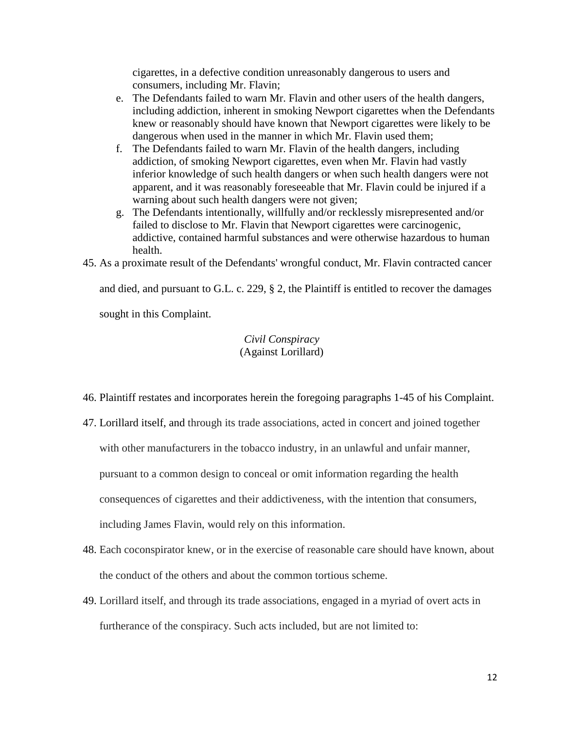cigarettes, in a defective condition unreasonably dangerous to users and consumers, including Mr. Flavin;

- e. The Defendants failed to warn Mr. Flavin and other users of the health dangers, including addiction, inherent in smoking Newport cigarettes when the Defendants knew or reasonably should have known that Newport cigarettes were likely to be dangerous when used in the manner in which Mr. Flavin used them;
- f. The Defendants failed to warn Mr. Flavin of the health dangers, including addiction, of smoking Newport cigarettes, even when Mr. Flavin had vastly inferior knowledge of such health dangers or when such health dangers were not apparent, and it was reasonably foreseeable that Mr. Flavin could be injured if a warning about such health dangers were not given;
- g. The Defendants intentionally, willfully and/or recklessly misrepresented and/or failed to disclose to Mr. Flavin that Newport cigarettes were carcinogenic, addictive, contained harmful substances and were otherwise hazardous to human health.
- 45. As a proximate result of the Defendants' wrongful conduct, Mr. Flavin contracted cancer

and died, and pursuant to G.L. c. 229, § 2, the Plaintiff is entitled to recover the damages sought in this Complaint.

## *Civil Conspiracy*  (Against Lorillard)

- 46. Plaintiff restates and incorporates herein the foregoing paragraphs 1-45 of his Complaint.
- 47. Lorillard itself, and through its trade associations, acted in concert and joined together with other manufacturers in the tobacco industry, in an unlawful and unfair manner, pursuant to a common design to conceal or omit information regarding the health consequences of cigarettes and their addictiveness, with the intention that consumers, including James Flavin, would rely on this information.
- 48. Each coconspirator knew, or in the exercise of reasonable care should have known, about the conduct of the others and about the common tortious scheme.
- 49. Lorillard itself, and through its trade associations, engaged in a myriad of overt acts in furtherance of the conspiracy. Such acts included, but are not limited to: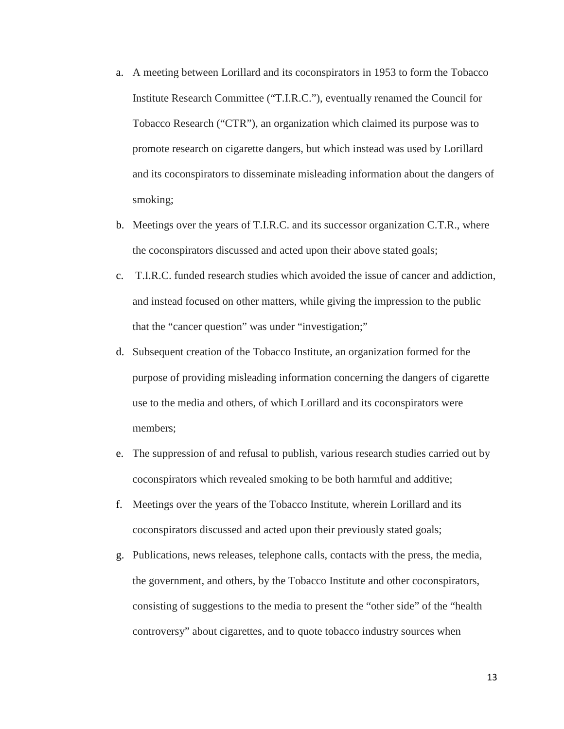- a. A meeting between Lorillard and its coconspirators in 1953 to form the Tobacco Institute Research Committee ("T.I.R.C."), eventually renamed the Council for Tobacco Research ("CTR"), an organization which claimed its purpose was to promote research on cigarette dangers, but which instead was used by Lorillard and its coconspirators to disseminate misleading information about the dangers of smoking;
- b. Meetings over the years of T.I.R.C. and its successor organization C.T.R., where the coconspirators discussed and acted upon their above stated goals;
- c. T.I.R.C. funded research studies which avoided the issue of cancer and addiction, and instead focused on other matters, while giving the impression to the public that the "cancer question" was under "investigation;"
- d. Subsequent creation of the Tobacco Institute, an organization formed for the purpose of providing misleading information concerning the dangers of cigarette use to the media and others, of which Lorillard and its coconspirators were members;
- e. The suppression of and refusal to publish, various research studies carried out by coconspirators which revealed smoking to be both harmful and additive;
- f. Meetings over the years of the Tobacco Institute, wherein Lorillard and its coconspirators discussed and acted upon their previously stated goals;
- g. Publications, news releases, telephone calls, contacts with the press, the media, the government, and others, by the Tobacco Institute and other coconspirators, consisting of suggestions to the media to present the "other side" of the "health controversy" about cigarettes, and to quote tobacco industry sources when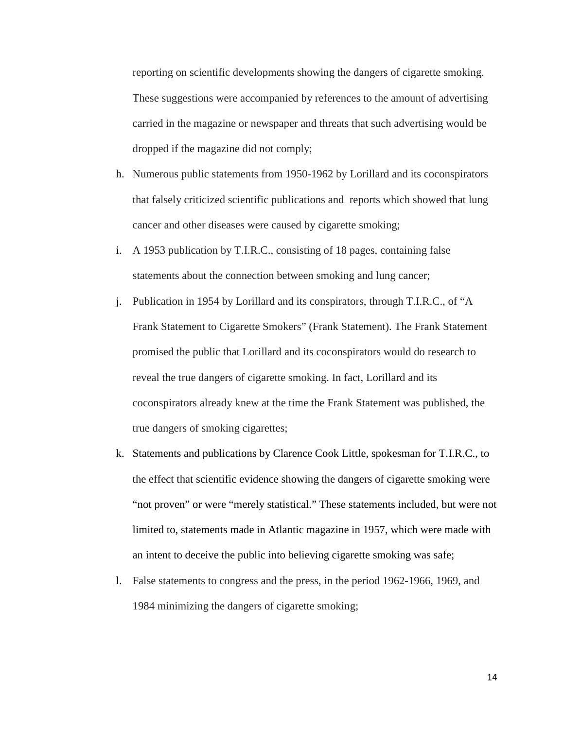reporting on scientific developments showing the dangers of cigarette smoking. These suggestions were accompanied by references to the amount of advertising carried in the magazine or newspaper and threats that such advertising would be dropped if the magazine did not comply;

- h. Numerous public statements from 1950-1962 by Lorillard and its coconspirators that falsely criticized scientific publications and reports which showed that lung cancer and other diseases were caused by cigarette smoking;
- i. A 1953 publication by T.I.R.C., consisting of 18 pages, containing false statements about the connection between smoking and lung cancer;
- j. Publication in 1954 by Lorillard and its conspirators, through T.I.R.C., of "A Frank Statement to Cigarette Smokers" (Frank Statement). The Frank Statement promised the public that Lorillard and its coconspirators would do research to reveal the true dangers of cigarette smoking. In fact, Lorillard and its coconspirators already knew at the time the Frank Statement was published, the true dangers of smoking cigarettes;
- k. Statements and publications by Clarence Cook Little, spokesman for T.I.R.C., to the effect that scientific evidence showing the dangers of cigarette smoking were "not proven" or were "merely statistical." These statements included, but were not limited to, statements made in Atlantic magazine in 1957, which were made with an intent to deceive the public into believing cigarette smoking was safe;
- l. False statements to congress and the press, in the period 1962-1966, 1969, and 1984 minimizing the dangers of cigarette smoking;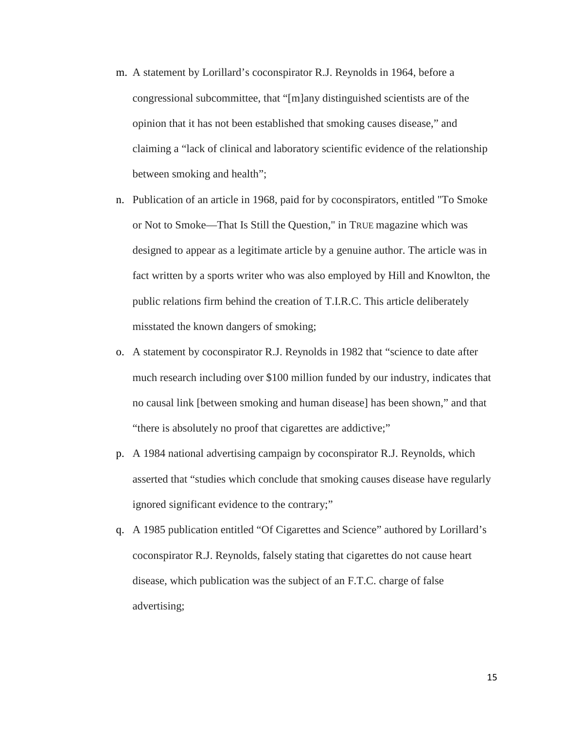- m. A statement by Lorillard's coconspirator R.J. Reynolds in 1964, before a congressional subcommittee, that "[m]any distinguished scientists are of the opinion that it has not been established that smoking causes disease," and claiming a "lack of clinical and laboratory scientific evidence of the relationship between smoking and health";
- n. Publication of an article in 1968, paid for by coconspirators, entitled "To Smoke or Not to Smoke—That Is Still the Question," in TRUE magazine which was designed to appear as a legitimate article by a genuine author. The article was in fact written by a sports writer who was also employed by Hill and Knowlton, the public relations firm behind the creation of T.I.R.C. This article deliberately misstated the known dangers of smoking;
- o. A statement by coconspirator R.J. Reynolds in 1982 that "science to date after much research including over \$100 million funded by our industry, indicates that no causal link [between smoking and human disease] has been shown," and that "there is absolutely no proof that cigarettes are addictive;"
- p. A 1984 national advertising campaign by coconspirator R.J. Reynolds, which asserted that "studies which conclude that smoking causes disease have regularly ignored significant evidence to the contrary;"
- q. A 1985 publication entitled "Of Cigarettes and Science" authored by Lorillard's coconspirator R.J. Reynolds, falsely stating that cigarettes do not cause heart disease, which publication was the subject of an F.T.C. charge of false advertising;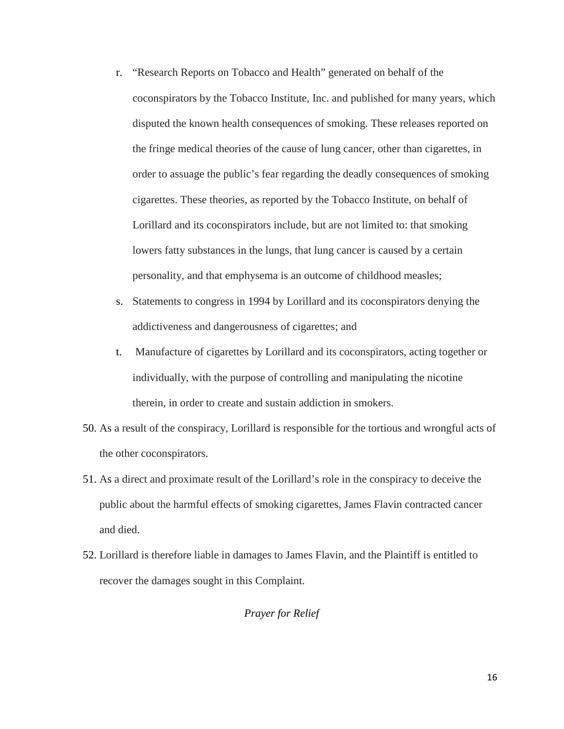- r. "Research Reports on Tobacco and Health" generated on behalf of the coconspirators by the Tobacco Institute, Inc. and published for many years, which disputed the known health consequences of smoking. These releases reported on the fringe medical theories of the cause of lung cancer, other than cigarettes, in order to assuage the public's fear regarding the deadly consequences of smoking cigarettes. These theories, as reported by the Tobacco Institute, on behalf of Lorillard and its coconspirators include, but are not limited to: that smoking lowers fatty substances in the lungs, that lung cancer is caused by a certain personality, and that emphysema is an outcome of childhood measles;
- s. Statements to congress in 1994 by Lorillard and its coconspirators denying the addictiveness and dangerousness of cigarettes; and
- t. Manufacture of cigarettes by Lorillard and its coconspirators, acting together or individually, with the purpose of controlling and manipulating the nicotine therein, in order to create and sustain addiction in smokers.
- 50. As a result of the conspiracy, Lorillard is responsible for the tortious and wrongful acts of the other coconspirators.
- 51. As a direct and proximate result of the Lorillard's role in the conspiracy to deceive the public about the harmful effects of smoking cigarettes, James Flavin contracted cancer and died.
- 52. Lorillard is therefore liable in damages to James Flavin, and the Plaintiff is entitled to recover the damages sought in this Complaint.

# *Prayer for Relief*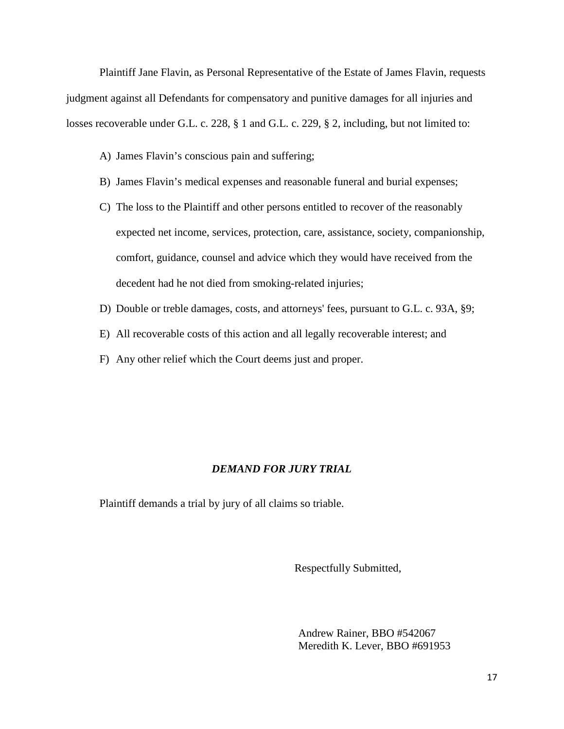Plaintiff Jane Flavin, as Personal Representative of the Estate of James Flavin, requests judgment against all Defendants for compensatory and punitive damages for all injuries and losses recoverable under G.L. c. 228, § 1 and G.L. c. 229, § 2, including, but not limited to:

- A) James Flavin's conscious pain and suffering;
- B) James Flavin's medical expenses and reasonable funeral and burial expenses;
- C) The loss to the Plaintiff and other persons entitled to recover of the reasonably expected net income, services, protection, care, assistance, society, companionship, comfort, guidance, counsel and advice which they would have received from the decedent had he not died from smoking-related injuries;
- D) Double or treble damages, costs, and attorneys' fees, pursuant to G.L. c. 93A, §9;
- E) All recoverable costs of this action and all legally recoverable interest; and
- F) Any other relief which the Court deems just and proper.

#### *DEMAND FOR JURY TRIAL*

Plaintiff demands a trial by jury of all claims so triable.

Respectfully Submitted,

Andrew Rainer, BBO #542067 Meredith K. Lever, BBO #691953